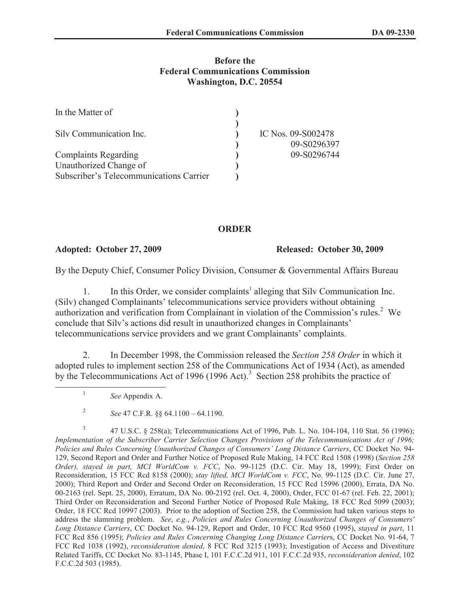## **Before the Federal Communications Commission Washington, D.C. 20554**

| In the Matter of                        |                    |
|-----------------------------------------|--------------------|
|                                         |                    |
| Silv Communication Inc.                 | IC Nos. 09-S002478 |
|                                         | 09-S0296397        |
| <b>Complaints Regarding</b>             | 09-S0296744        |
| Unauthorized Change of                  |                    |
| Subscriber's Telecommunications Carrier |                    |

## **ORDER**

**Adopted: October 27, 2009 Released: October 30, 2009**

By the Deputy Chief, Consumer Policy Division, Consumer & Governmental Affairs Bureau

1. In this Order, we consider complaints<sup>1</sup> alleging that Silv Communication Inc. (Silv) changed Complainants' telecommunications service providers without obtaining authorization and verification from Complainant in violation of the Commission's rules.<sup>2</sup> We conclude that Silv's actions did result in unauthorized changes in Complainants' telecommunications service providers and we grant Complainants' complaints.

2. In December 1998, the Commission released the *Section 258 Order* in which it adopted rules to implement section 258 of the Communications Act of 1934 (Act), as amended by the Telecommunications Act of 1996 (1996 Act).<sup>3</sup> Section 258 prohibits the practice of

*See* Appendix A.

1

2 *See* 47 C.F.R. §§ 64.1100 – 64.1190.

3 47 U.S.C. § 258(a); Telecommunications Act of 1996, Pub. L. No. 104-104, 110 Stat. 56 (1996); *Implementation of the Subscriber Carrier Selection Changes Provisions of the Telecommunications Act of 1996; Policies and Rules Concerning Unauthorized Changes of Consumers' Long Distance Carriers*, CC Docket No. 94- 129, Second Report and Order and Further Notice of Proposed Rule Making, 14 FCC Rcd 1508 (1998) (*Section 258 Order), stayed in part, MCI WorldCom v. FCC*, No. 99-1125 (D.C. Cir. May 18, 1999); First Order on Reconsideration, 15 FCC Rcd 8158 (2000); *stay lifted, MCI WorldCom v. FCC*, No. 99-1125 (D.C. Cir. June 27, 2000); Third Report and Order and Second Order on Reconsideration, 15 FCC Rcd 15996 (2000), Errata, DA No. 00-2163 (rel. Sept. 25, 2000), Erratum, DA No. 00-2192 (rel. Oct. 4, 2000), Order, FCC 01-67 (rel. Feb. 22, 2001); Third Order on Reconsideration and Second Further Notice of Proposed Rule Making, 18 FCC Rcd 5099 (2003); Order, 18 FCC Rcd 10997 (2003). Prior to the adoption of Section 258, the Commission had taken various steps to address the slamming problem. *See*, *e.g.*, *Policies and Rules Concerning Unauthorized Changes of Consumers' Long Distance Carriers*, CC Docket No. 94-129, Report and Order, 10 FCC Rcd 9560 (1995), *stayed in part*, 11 FCC Rcd 856 (1995); *Policies and Rules Concerning Changing Long Distance Carrier*s, CC Docket No. 91-64, 7 FCC Rcd 1038 (1992), *reconsideration denied*, 8 FCC Rcd 3215 (1993); Investigation of Access and Divestiture Related Tariffs, CC Docket No. 83-1145, Phase I, 101 F.C.C.2d 911, 101 F.C.C.2d 935, *reconsideration denied*, 102 F.C.C.2d 503 (1985).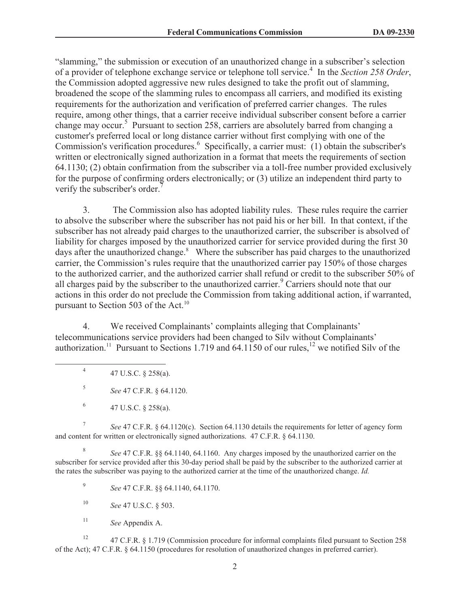"slamming," the submission or execution of an unauthorized change in a subscriber's selection of a provider of telephone exchange service or telephone toll service.<sup>4</sup> In the *Section 258 Order*, the Commission adopted aggressive new rules designed to take the profit out of slamming, broadened the scope of the slamming rules to encompass all carriers, and modified its existing requirements for the authorization and verification of preferred carrier changes. The rules require, among other things, that a carrier receive individual subscriber consent before a carrier change may occur.<sup>5</sup> Pursuant to section 258, carriers are absolutely barred from changing a customer's preferred local or long distance carrier without first complying with one of the Commission's verification procedures.<sup>6</sup> Specifically, a carrier must: (1) obtain the subscriber's written or electronically signed authorization in a format that meets the requirements of section 64.1130; (2) obtain confirmation from the subscriber via a toll-free number provided exclusively for the purpose of confirming orders electronically; or (3) utilize an independent third party to verify the subscriber's order.

3. The Commission also has adopted liability rules. These rules require the carrier to absolve the subscriber where the subscriber has not paid his or her bill. In that context, if the subscriber has not already paid charges to the unauthorized carrier, the subscriber is absolved of liability for charges imposed by the unauthorized carrier for service provided during the first 30 days after the unauthorized change.<sup>8</sup> Where the subscriber has paid charges to the unauthorized carrier, the Commission's rules require that the unauthorized carrier pay 150% of those charges to the authorized carrier, and the authorized carrier shall refund or credit to the subscriber 50% of all charges paid by the subscriber to the unauthorized carrier.<sup>9</sup> Carriers should note that our actions in this order do not preclude the Commission from taking additional action, if warranted, pursuant to Section 503 of the Act.<sup>10</sup>

4. We received Complainants' complaints alleging that Complainants' telecommunications service providers had been changed to Silv without Complainants' authorization.<sup>11</sup> Pursuant to Sections 1.719 and 64.1150 of our rules,<sup>12</sup> we notified Silv of the

4 47 U.S.C. § 258(a).

5 *See* 47 C.F.R. § 64.1120.

6 47 U.S.C. § 258(a).

7 *See* 47 C.F.R. § 64.1120(c). Section 64.1130 details the requirements for letter of agency form and content for written or electronically signed authorizations. 47 C.F.R. § 64.1130.

8 *See* 47 C.F.R. §§ 64.1140, 64.1160. Any charges imposed by the unauthorized carrier on the subscriber for service provided after this 30-day period shall be paid by the subscriber to the authorized carrier at the rates the subscriber was paying to the authorized carrier at the time of the unauthorized change. *Id.*

9 *See* 47 C.F.R. §§ 64.1140, 64.1170.

<sup>10</sup> *See* 47 U.S.C. § 503.

<sup>11</sup> *See* Appendix A.

<sup>12</sup> 47 C.F.R. § 1.719 (Commission procedure for informal complaints filed pursuant to Section 258 of the Act); 47 C.F.R. § 64.1150 (procedures for resolution of unauthorized changes in preferred carrier).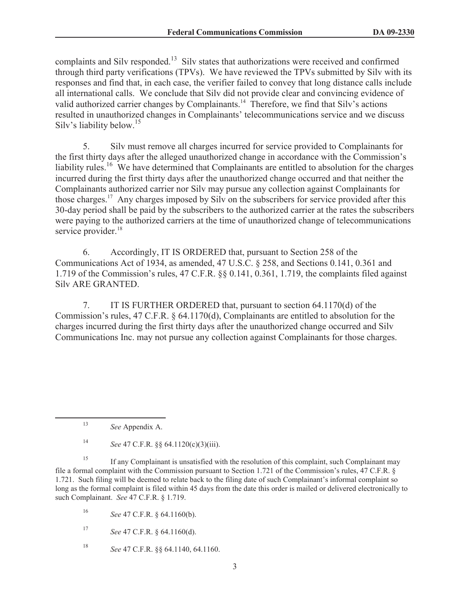complaints and Silv responded.<sup>13</sup> Silv states that authorizations were received and confirmed through third party verifications (TPVs). We have reviewed the TPVs submitted by Silv with its responses and find that, in each case, the verifier failed to convey that long distance calls include all international calls. We conclude that Silv did not provide clear and convincing evidence of valid authorized carrier changes by Complainants.<sup>14</sup> Therefore, we find that Silv's actions resulted in unauthorized changes in Complainants' telecommunications service and we discuss Silv's liability below.<sup>15</sup>

5. Silv must remove all charges incurred for service provided to Complainants for the first thirty days after the alleged unauthorized change in accordance with the Commission's liability rules.<sup>16</sup> We have determined that Complainants are entitled to absolution for the charges incurred during the first thirty days after the unauthorized change occurred and that neither the Complainants authorized carrier nor Silv may pursue any collection against Complainants for those charges.<sup>17</sup> Any charges imposed by Silv on the subscribers for service provided after this 30-day period shall be paid by the subscribers to the authorized carrier at the rates the subscribers were paying to the authorized carriers at the time of unauthorized change of telecommunications service provider.<sup>18</sup>

6. Accordingly, IT IS ORDERED that, pursuant to Section 258 of the Communications Act of 1934, as amended, 47 U.S.C. § 258, and Sections 0.141, 0.361 and 1.719 of the Commission's rules, 47 C.F.R. §§ 0.141, 0.361, 1.719, the complaints filed against Silv ARE GRANTED.

7. IT IS FURTHER ORDERED that, pursuant to section 64.1170(d) of the Commission's rules, 47 C.F.R. § 64.1170(d), Complainants are entitled to absolution for the charges incurred during the first thirty days after the unauthorized change occurred and Silv Communications Inc. may not pursue any collection against Complainants for those charges.

<sup>13</sup> *See* Appendix A.

<sup>14</sup> *See* 47 C.F.R. §§ 64.1120(c)(3)(iii).

<sup>&</sup>lt;sup>15</sup> If any Complainant is unsatisfied with the resolution of this complaint, such Complainant may file a formal complaint with the Commission pursuant to Section 1.721 of the Commission's rules, 47 C.F.R. § 1.721. Such filing will be deemed to relate back to the filing date of such Complainant's informal complaint so long as the formal complaint is filed within 45 days from the date this order is mailed or delivered electronically to such Complainant. *See* 47 C.F.R. § 1.719.

<sup>16</sup> *See* 47 C.F.R. § 64.1160(b).

<sup>17</sup> *See* 47 C.F.R. § 64.1160(d).

<sup>18</sup> *See* 47 C.F.R. §§ 64.1140, 64.1160.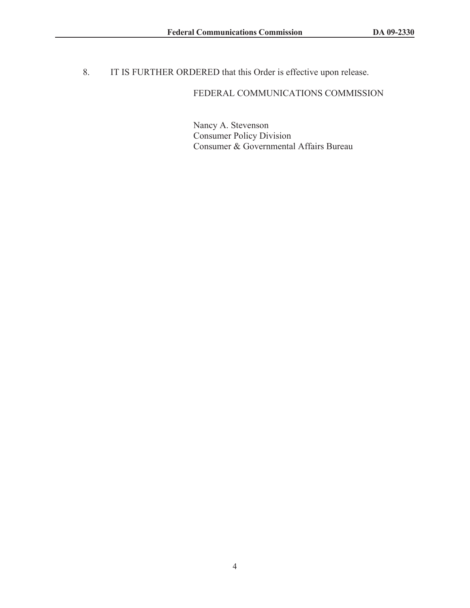8. IT IS FURTHER ORDERED that this Order is effective upon release.

## FEDERAL COMMUNICATIONS COMMISSION

Nancy A. Stevenson Consumer Policy Division Consumer & Governmental Affairs Bureau